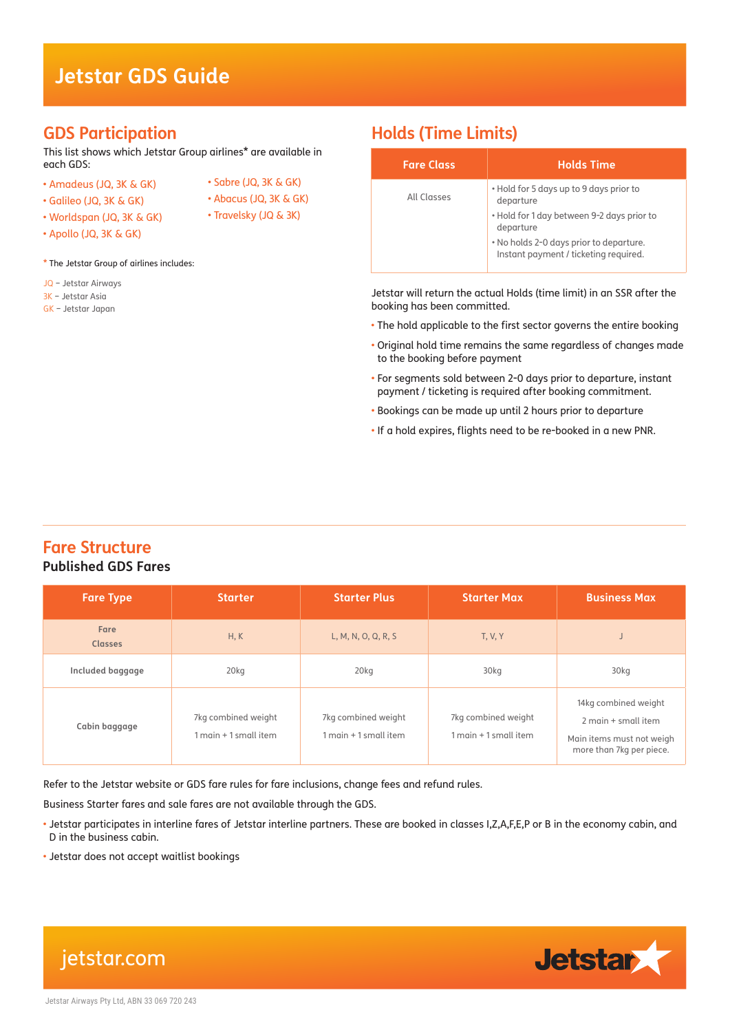# **Jetstar GDS Guide**

## **GDS Participation**

This list shows which Jetstar Group airlines\* are available in each GDS:

- Amadeus (JQ, 3K & GK)
- Sabre (JQ, 3K & GK) • Abacus (JQ, 3K & GK)
- Galileo (JQ, 3K & GK) • Worldspan (JQ, 3K & GK)
- Travelsky (JQ & 3K)
- Apollo (JQ, 3K & GK)

\* The Jetstar Group of airlines includes:

- JQ Jetstar Airways
- 3K Jetstar Asia
- GK Jetstar Japan

# **Holds (Time Limits)**

| <b>Fare Class</b> | <b>Holds Time</b>                                                                |
|-------------------|----------------------------------------------------------------------------------|
| All Classes       | . Hold for 5 days up to 9 days prior to<br>departure                             |
|                   | . Hold for 1 day between 9-2 days prior to<br>departure                          |
|                   | . No holds 2-0 days prior to departure.<br>Instant payment / ticketing required. |

Jetstar will return the actual Holds (time limit) in an SSR after the booking has been committed.

- The hold applicable to the first sector governs the entire booking
- Original hold time remains the same regardless of changes made to the booking before payment
- For segments sold between 2-0 days prior to departure, instant payment / ticketing is required after booking commitment.
- Bookings can be made up until 2 hours prior to departure
- If a hold expires, flights need to be re-booked in a new PNR.

## **Fare Structure Published GDS Fares**

| <b>Fare Type</b>       | <b>Starter</b>                                  | <b>Starter Plus</b>                             | <b>Starter Max</b>                           | <b>Business Max</b>                                                                                  |
|------------------------|-------------------------------------------------|-------------------------------------------------|----------------------------------------------|------------------------------------------------------------------------------------------------------|
| Fare<br><b>Classes</b> | H, K                                            | L, M, N, O, Q, R, S                             | <b>T, V, Y</b>                               |                                                                                                      |
| Included baggage       | 20 <sub>kq</sub>                                | 20 <sub>kq</sub>                                | 30kg                                         | 30kg                                                                                                 |
| Cabin baggage          | 7kg combined weight<br>$1$ main $+1$ small item | 7kg combined weight<br>$1$ main $+1$ small item | 7kg combined weight<br>1 main + 1 small item | 14kg combined weight<br>2 main + small item<br>Main items must not weigh<br>more than 7kg per piece. |

Refer to the Jetstar website or GDS fare rules for fare inclusions, change fees and refund rules.

Business Starter fares and sale fares are not available through the GDS.

• Jetstar participates in interline fares of Jetstar interline partners. These are booked in classes I,Z,A,F,E,P or B in the economy cabin, and D in the business cabin.

• Jetstar does not accept waitlist bookings

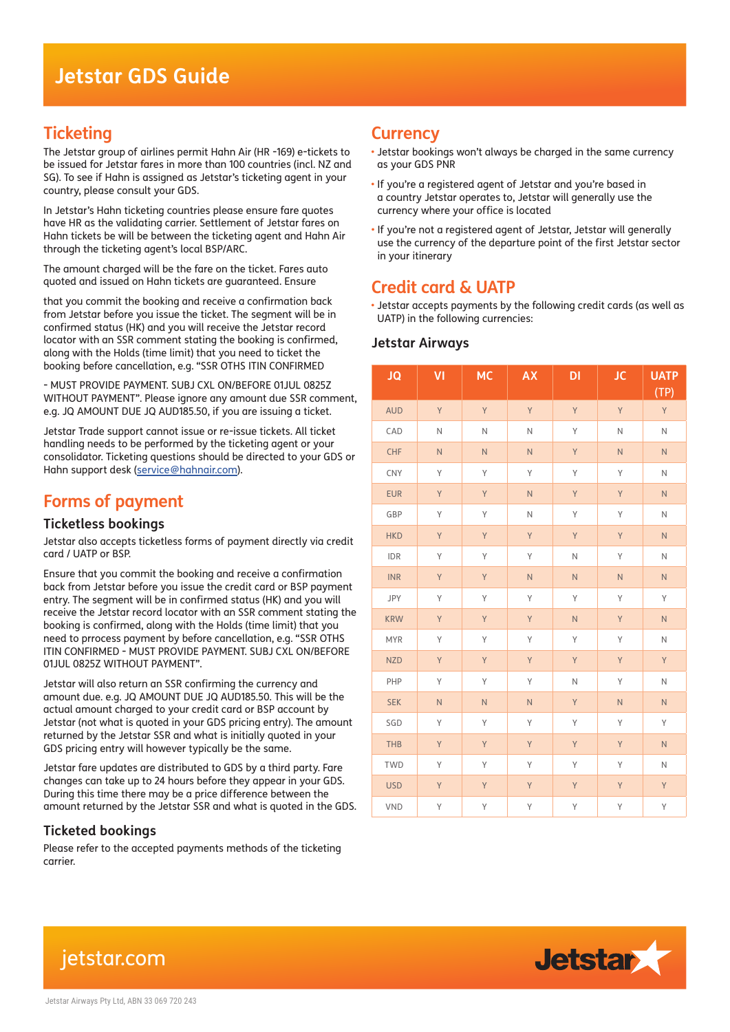## **Ticketing**

The Jetstar group of airlines permit Hahn Air (HR -169) e-tickets to be issued for Jetstar fares in more than 100 countries (incl. NZ and SG). To see if Hahn is assigned as Jetstar's ticketing agent in your country, please consult your GDS.

In Jetstar's Hahn ticketing countries please ensure fare quotes have HR as the validating carrier. Settlement of Jetstar fares on Hahn tickets be will be between the ticketing agent and Hahn Air through the ticketing agent's local BSP/ARC.

The amount charged will be the fare on the ticket. Fares auto quoted and issued on Hahn tickets are guaranteed. Ensure

that you commit the booking and receive a confirmation back from Jetstar before you issue the ticket. The segment will be in confirmed status (HK) and you will receive the Jetstar record locator with an SSR comment stating the booking is confirmed, along with the Holds (time limit) that you need to ticket the booking before cancellation, e.g. "SSR OTHS ITIN CONFIRMED

- MUST PROVIDE PAYMENT. SUBJ CXL ON/BEFORE 01JUL 0825Z WITHOUT PAYMENT". Please ignore any amount due SSR comment, e.g. JQ AMOUNT DUE JQ AUD185.50, if you are issuing a ticket.

Jetstar Trade support cannot issue or re-issue tickets. All ticket handling needs to be performed by the ticketing agent or your consolidator. Ticketing questions should be directed to your GDS or Hahn support desk (service@hahnair.com).

# **Forms of payment**

#### **Ticketless bookings**

Jetstar also accepts ticketless forms of payment directly via credit card / UATP or BSP.

Ensure that you commit the booking and receive a confirmation back from Jetstar before you issue the credit card or BSP payment entry. The segment will be in confirmed status (HK) and you will receive the Jetstar record locator with an SSR comment stating the booking is confirmed, along with the Holds (time limit) that you need to prrocess payment by before cancellation, e.g. "SSR OTHS ITIN CONFIRMED - MUST PROVIDE PAYMENT. SUBJ CXL ON/BEFORE 01JUL 0825Z WITHOUT PAYMENT".

Jetstar will also return an SSR confirming the currency and amount due. e.g. JQ AMOUNT DUE JQ AUD185.50. This will be the actual amount charged to your credit card or BSP account by Jetstar (not what is quoted in your GDS pricing entry). The amount returned by the Jetstar SSR and what is initially quoted in your GDS pricing entry will however typically be the same.

Jetstar fare updates are distributed to GDS by a third party. Fare changes can take up to 24 hours before they appear in your GDS. During this time there may be a price difference between the amount returned by the Jetstar SSR and what is quoted in the GDS.

### **Ticketed bookings**

Please refer to the accepted payments methods of the ticketing carrier.

## **Currency**

- Jetstar bookings won't always be charged in the same currency as your GDS PNR
- If you're a registered agent of Jetstar and you're based in a country Jetstar operates to, Jetstar will generally use the currency where your office is located
- If you're not a registered agent of Jetstar, Jetstar will generally use the currency of the departure point of the first Jetstar sector in your itinerary

# **Credit card & UATP**

• Jetstar accepts payments by the following credit cards (as well as UATP) in the following currencies:

#### **Jetstar Airways**

| <b>JQ</b>  | VI             | <b>MC</b>      | <b>AX</b>      | DI             | <b>JC</b>      | <b>UATP</b><br>(TP) |
|------------|----------------|----------------|----------------|----------------|----------------|---------------------|
| <b>AUD</b> | Y              | Y              | Y              | Y              | Y              | Y                   |
| CAD        | $\mathsf N$    | $\hbox{N}$     | N              | Y              | $\mathbb N$    | $\hbox{N}$          |
| <b>CHF</b> | $\overline{N}$ | $\overline{N}$ | $\overline{N}$ | Y              | $\overline{N}$ | $\mathsf{N}$        |
| CNY        | Y              | Y              | Y              | Υ              | Υ              | $\hbox{N}$          |
| <b>EUR</b> | Y              | Y              | $\overline{N}$ | Y              | Y              | $\overline{N}$      |
| GBP        | Υ              | Y              | N              | Υ              | Υ              | $\mathsf N$         |
| <b>HKD</b> | Y              | Y              | Y              | Y              | Y              | $\overline{N}$      |
| IDR        | Υ              | Y              | Υ              | N              | Y              | $\mathsf N$         |
| <b>INR</b> | Y              | Y              | ${\sf N}$      | $\overline{N}$ | $\overline{N}$ | ${\sf N}$           |
| JPY        | Υ              | Y              | Υ              | Υ              | Y              | Y                   |
| <b>KRW</b> | Y              | Y              | Y              | $\overline{N}$ | Y              | $\mathsf N$         |
| <b>MYR</b> | Υ              | Y              | Υ              | Y              | Υ              | $\mathsf N$         |
| <b>NZD</b> | Y              | Y              | Υ              | Y              | Y              | Υ                   |
| PHP        | Y              | Y              | Υ              | N              | Y              | $\mathsf{N}$        |
| <b>SEK</b> | $\mathsf N$    | $\overline{N}$ | $\overline{N}$ | Y              | $\overline{N}$ | ${\sf N}$           |
| SGD        | Y              | Y              | Υ              | Y              | Υ              | Υ                   |
| THB        | Y              | Y              | Y              | Y              | Y              | $\mathsf{N}\xspace$ |
| <b>TWD</b> | Y              | Y              | Y              | Y              | Y              | $\hbox{N}$          |
| <b>USD</b> | Y              | Y              | Y              | Y              | Y              | Y                   |
| <b>VND</b> | Υ              | Υ              | Y              | Υ              | Υ              | Y                   |

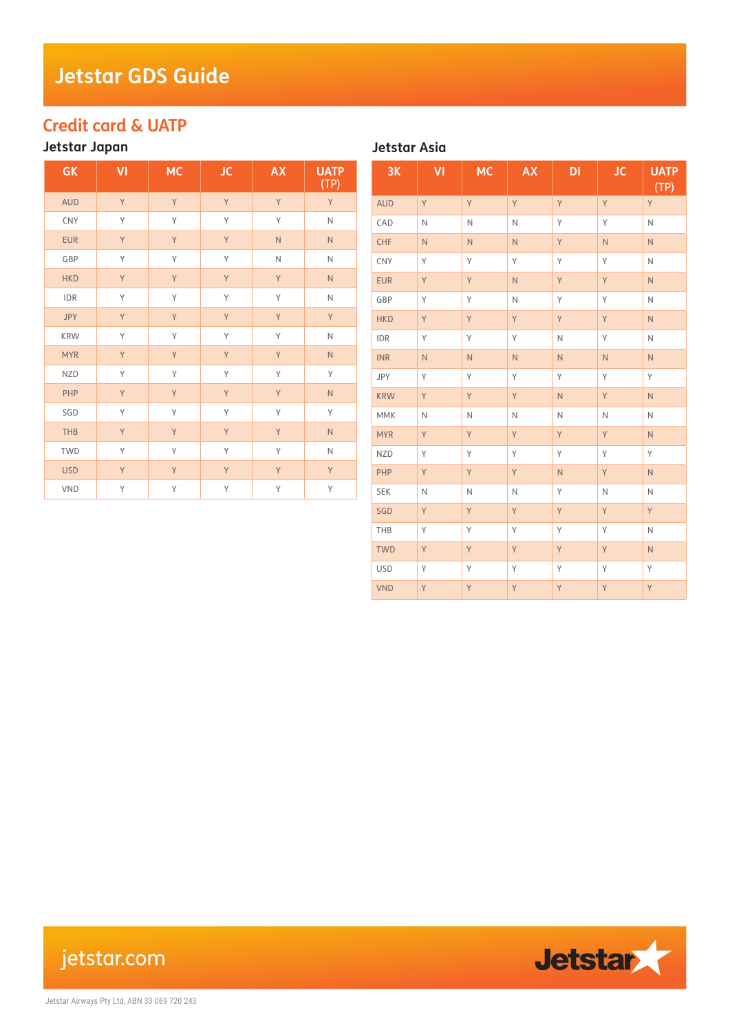# **Jetstar GDS Guide**

# **Credit card & UATP**

## **Jetstar Japan**

| GK         | VI | <b>MC</b> | <b>JC</b> | <b>AX</b>    | <b>UATP</b><br>(TP) |
|------------|----|-----------|-----------|--------------|---------------------|
| <b>AUD</b> | Y  | Y         | Y         | Y            | Y                   |
| CNY        | Y  | Y         | Y         | Y            | $\mathsf{N}$        |
| <b>EUR</b> | Y  | Y         | Y         | $\mathsf{N}$ | $\mathsf{N}$        |
| GBP        | Y  | Y         | Y         | $\mathsf N$  | $\overline{N}$      |
| <b>HKD</b> | Y  | Y         | Y         | Y            | N                   |
| <b>IDR</b> | Y  | Y         | Y         | Y            | N                   |
| <b>JPY</b> | Y  | Y         | Y         | Y            | Y                   |
| <b>KRW</b> | Y  | Y         | Y         | Y            | N                   |
| <b>MYR</b> | Y  | Y         | Y         | Y            | N                   |
| <b>NZD</b> | Y  | Y         | Y         | Y            | Y                   |
| PHP        | Y  | Y         | Y         | Y            | N                   |
| SGD        | Y  | Y         | Y         | Y            | Y                   |
| <b>THB</b> | Y  | Y         | Y         | Y            | N                   |
| <b>TWD</b> | Y  | Υ         | Y         | Y            | N                   |
| <b>USD</b> | Y  | Y         | Y         | Y            | Y                   |
| <b>VND</b> | Y  | Y         | Y         | Y            | Y                   |

**Jetstar Asia**

| 3K         | VI             | <b>MC</b>   | <b>AX</b>      | DI             | <b>JC</b>               | <b>UATP</b><br>(TP) |
|------------|----------------|-------------|----------------|----------------|-------------------------|---------------------|
| <b>AUD</b> | Y              | Y           | Y              | Y              | Y                       | Y                   |
| CAD        | $\mathbb N$    | $\mathbb N$ | N              | Y              | Υ                       | $\mathbb N$         |
| CHF        | $\overline{N}$ | ${\sf N}$   | $\overline{N}$ | Y              | $\overline{\mathsf{N}}$ | $\overline{N}$      |
| CNY        | Y              | Y           | Y              | Y              | Y                       | $\mathbb N$         |
| <b>EUR</b> | Y              | Y           | $\overline{N}$ | Y              | Y                       | $\mathsf{N}$        |
| GBP        | Y              | Υ           | $\mathsf{N}$   | Y              | Y                       | $\mathbb N$         |
| <b>HKD</b> | Y              | Y           | Y              | Y              | Y                       | $\mathsf{N}$        |
| IDR        | Υ              | Υ           | Y              | $\mathsf N$    | Υ                       | N                   |
| <b>INR</b> | $\overline{N}$ | ${\sf N}$   | $\overline{N}$ | $\mathsf N$    | $\mathsf{N}$            | $\overline{N}$      |
| JPY        | Y              | Υ           | Υ              | Y              | Υ                       | Υ                   |
| <b>KRW</b> | Y              | Y           | Y              | $\overline{N}$ | Y                       | N.                  |
| MMK        | $\mathsf N$    | $\hbox{N}$  | $\mathsf{N}$   | $\mathsf N$    | N                       | $\mathsf{N}$        |
| <b>MYR</b> | Y              | Y           | Y              | Y              | Y                       | $\overline{N}$      |
| <b>NZD</b> | Y              | Υ           | Υ              | Y              | Υ                       | Y                   |
| PHP        | Y              | Y           | Y              | $\overline{N}$ | Y                       | $\mathsf{N}$        |
| <b>SEK</b> | $\mathsf N$    | $\mathbb N$ | N              | Y              | $\mathsf N$             | $\mathsf{N}$        |
| SGD        | Y              | Y           | Y              | Y              | Y                       | Y                   |
| THB        | Y              | Y           | Υ              | Y              | Υ                       | $\mathsf{N}$        |
| <b>TWD</b> | Y              | Y           | Y              | Y              | Y                       | $\overline{N}$      |
| <b>USD</b> | Y              | Υ           | Υ              | Y              | Υ                       | Y                   |
| <b>VND</b> | Y              | Y           | Y              | Y              | Y                       | Y                   |

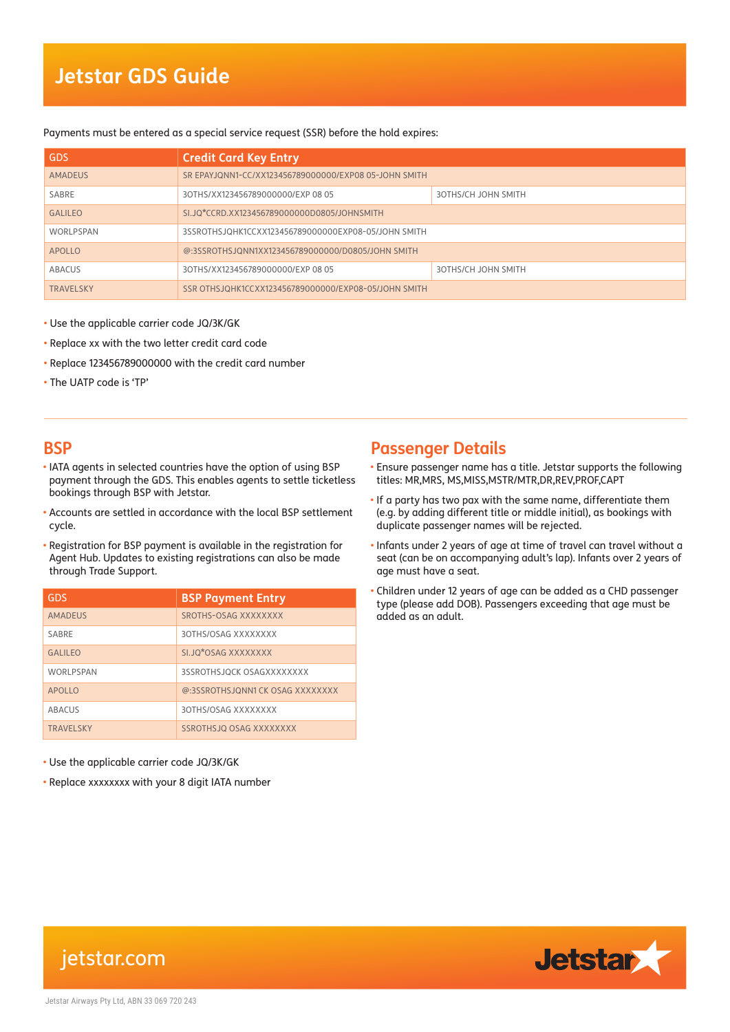# **Jetstar GDS Guide**

#### Payments must be entered as a special service request (SSR) before the hold expires:

| <b>GDS</b>       | <b>Credit Card Key Entry</b>                          |                            |  |
|------------------|-------------------------------------------------------|----------------------------|--|
| <b>AMADEUS</b>   | SR EPAYJONN1-CC/XX123456789000000/EXP08 05-JOHN SMITH |                            |  |
| SABRE            | 30THS/XX123456789000000/EXP 08 05                     | <b>3OTHS/CH JOHN SMITH</b> |  |
| <b>GALILEO</b>   | SI.JO*CCRD.XX12345678900000000805/JOHNSMITH           |                            |  |
| WORLPSPAN        | 3SSROTHSJOHK1CCXX123456789000000EXP08-05/JOHN SMITH   |                            |  |
| <b>APOLLO</b>    | @:3SSROTHSJONN1XX123456789000000/D0805/JOHN SMITH     |                            |  |
| ABACUS           | 30THS/XX123456789000000/EXP 08 05                     | <b>3OTHS/CH JOHN SMITH</b> |  |
| <b>TRAVELSKY</b> | SSR OTHSJOHK1CCXX123456789000000/EXP08-05/JOHN SMITH  |                            |  |

- Use the applicable carrier code JQ/3K/GK
- Replace xx with the two letter credit card code
- Replace 123456789000000 with the credit card number
- The UATP code is 'TP'

#### **BSP**

- IATA agents in selected countries have the option of using BSP payment through the GDS. This enables agents to settle ticketless bookings through BSP with Jetstar.
- Accounts are settled in accordance with the local BSP settlement cycle.
- Registration for BSP payment is available in the registration for Agent Hub. Updates to existing registrations can also be made through Trade Support.

| GDS               | <b>BSP Payment Entry</b>        |
|-------------------|---------------------------------|
| <b>AMADEUS</b>    | SROTHS-OSAG XXXXXXXX            |
| SARRF             | 30THS/OSAG XXXXXXXX             |
| <b>GAI II FO</b>  | SI.JQ*OSAG XXXXXXXX             |
| <b>WORLPSPAN</b>  | 3SSROTHSJOCK OSAGXXXXXXXX       |
| <b>APOLLO</b>     | @:3SSROTHSJONN1CK OSAG XXXXXXXX |
| ABACUS            | 30THS/OSAG XXXXXXXX             |
| <b>TRAVEL SKY</b> | SSROTHSJQ OSAG XXXXXXXX         |

- Use the applicable carrier code JQ/3K/GK
- Replace xxxxxxxx with your 8 digit IATA number

## **Passenger Details**

- Ensure passenger name has a title. Jetstar supports the following titles: MR,MRS, MS,MISS,MSTR/MTR,DR,REV,PROF,CAPT
- If a party has two pax with the same name, differentiate them (e.g. by adding different title or middle initial), as bookings with duplicate passenger names will be rejected.
- Infants under 2 years of age at time of travel can travel without a seat (can be on accompanying adult's lap). Infants over 2 years of age must have a seat.
- Children under 12 years of age can be added as a CHD passenger type (please add DOB). Passengers exceeding that age must be added as an adult.



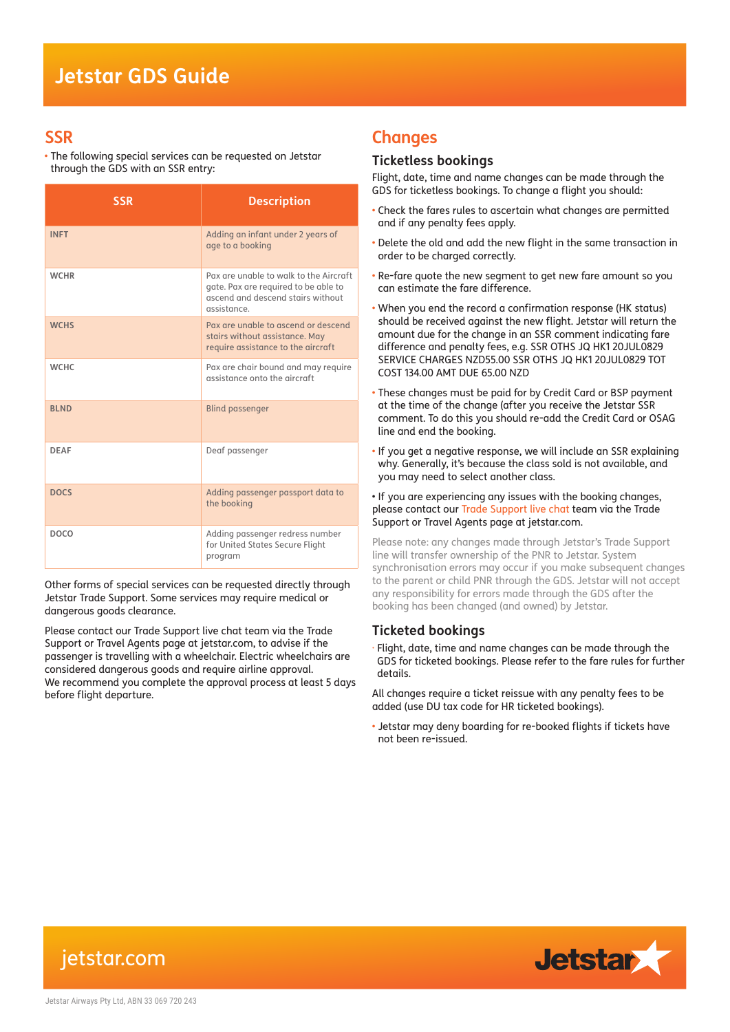### **SSR**

• The following special services can be requested on Jetstar through the GDS with an SSR entry:

| <b>SSR</b>  | <b>Description</b>                                                                                                                 |
|-------------|------------------------------------------------------------------------------------------------------------------------------------|
| <b>INFT</b> | Adding an infant under 2 years of<br>age to a booking                                                                              |
| <b>WCHR</b> | Pax are unable to walk to the Aircraft<br>gate. Pax are required to be able to<br>ascend and descend stairs without<br>assistance. |
| <b>WCHS</b> | Pax are unable to ascend or descend<br>stairs without assistance. May<br>require assistance to the aircraft                        |
| <b>WCHC</b> | Pax are chair bound and may require<br>assistance onto the aircraft                                                                |
| <b>BLND</b> | <b>Blind passenger</b>                                                                                                             |
| <b>DFAF</b> | Deaf passenger                                                                                                                     |
| <b>DOCS</b> | Adding passenger passport data to<br>the booking                                                                                   |
| <b>DOCO</b> | Adding passenger redress number<br>for United States Secure Flight<br>program                                                      |

Other forms of special services can be requested directly through Jetstar Trade Support. Some services may require medical or dangerous goods clearance.

Please contact our Trade Support live chat team via the Trade Support or Travel Agents page at jetstar.com, to advise if the passenger is travelling with a wheelchair. Electric wheelchairs are considered dangerous goods and require airline approval. We recommend you complete the approval process at least 5 days before flight departure.

### **Changes**

#### **Ticketless bookings**

Flight, date, time and name changes can be made through the GDS for ticketless bookings. To change a flight you should:

- Check the fares rules to ascertain what changes are permitted and if any penalty fees apply.
- Delete the old and add the new flight in the same transaction in order to be charged correctly.
- Re-fare quote the new segment to get new fare amount so you can estimate the fare difference.
- When you end the record a confirmation response (HK status) should be received against the new flight. Jetstar will return the amount due for the change in an SSR comment indicating fare difference and penalty fees, e.g. SSR OTHS JQ HK1 20JUL0829 SERVICE CHARGES NZD55.00 SSR OTHS JQ HK1 20JUL0829 TOT COST 134.00 AMT DUE 65.00 NZD
- These changes must be paid for by Credit Card or BSP payment at the time of the change (after you receive the Jetstar SSR comment. To do this you should re-add the Credit Card or OSAG line and end the booking.
- If you get a negative response, we will include an SSR explaining why. Generally, it's because the class sold is not available, and you may need to select another class.

• If you are experiencing any issues with the booking changes, please contact our Trade Support live chat team via the Trade Support or Travel Agents page at jetstar.com.

Please note: any changes made through Jetstar's Trade Support line will transfer ownership of the PNR to Jetstar. System synchronisation errors may occur if you make subsequent changes to the parent or child PNR through the GDS. Jetstar will not accept any responsibility for errors made through the GDS after the booking has been changed (and owned) by Jetstar.

#### **Ticketed bookings**

· Flight, date, time and name changes can be made through the GDS for ticketed bookings. Please refer to the fare rules for further details.

All changes require a ticket reissue with any penalty fees to be added (use DU tax code for HR ticketed bookings).

• Jetstar may deny boarding for re-booked flights if tickets have not been re-issued.



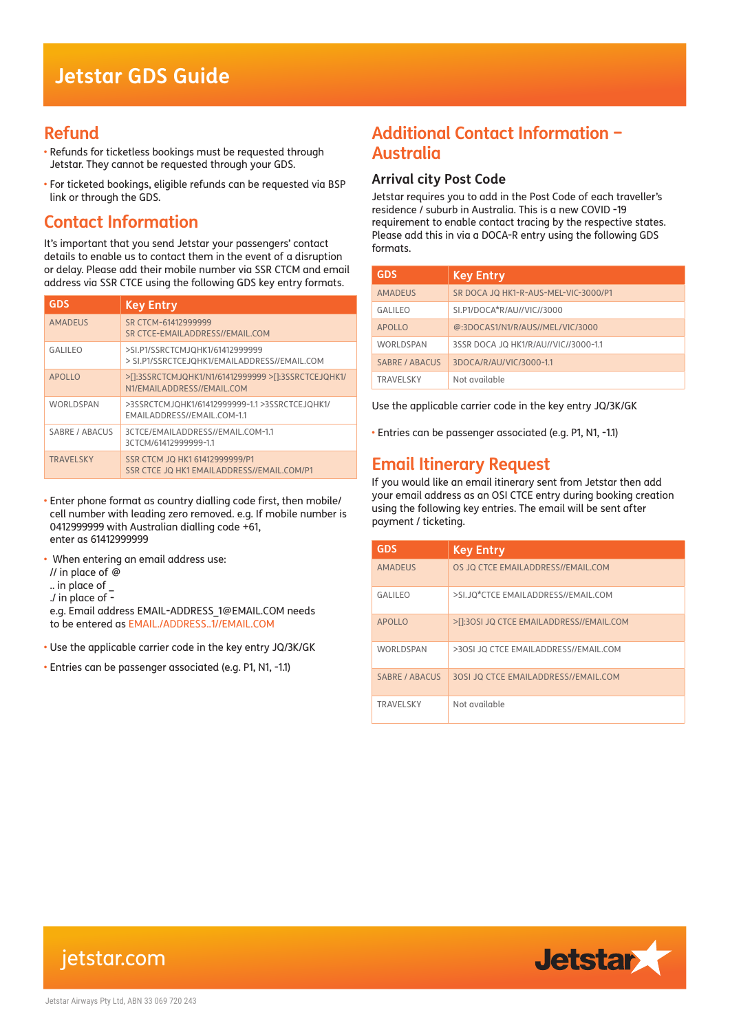### **Refund**

- Refunds for ticketless bookings must be requested through Jetstar. They cannot be requested through your GDS.
- For ticketed bookings, eligible refunds can be requested via BSP link or through the GDS.

# **Contact Information**

It's important that you send Jetstar your passengers' contact details to enable us to contact them in the event of a disruption or delay. Please add their mobile number via SSR CTCM and email address via SSR CTCE using the following GDS key entry formats.

| <b>GDS</b>       | <b>Key Entry</b>                                                                  |
|------------------|-----------------------------------------------------------------------------------|
| <b>AMADEUS</b>   | SR CTCM-61412999999<br>SR CTCE-EMAILADDRESS//EMAIL.COM                            |
| GAI II FO        | >SI.P1/SSRCTCMJOHK1/61412999999<br>> SI.P1/SSRCTCEJOHK1/EMAILADDRESS//EMAIL.COM   |
| APOLIO           | >[1:3SSRCTCMJQHK1/N1/61412999999 >[1:3SSRCTCEJQHK1/<br>N1/EMAILADDRESS//EMAIL.COM |
| WORLDSPAN        | >3SSRCTCMJQHK1/61412999999-1.1 >3SSRCTCEJQHK1/<br>EMAILADDRESS//EMAIL.COM-1.1     |
| SABRE / ABACUS   | 3CTCE/EMAILADDRESS//EMAIL.COM-1.1<br>3CTCM/61412999999-1.1                        |
| <b>TRAVELSKY</b> | SSR CTCM JO HK1 61412999999/P1<br>SSR CTCE JO HK1 EMAILADDRESS//EMAIL.COM/P1      |

- Enter phone format as country dialling code first, then mobile/ cell number with leading zero removed. e.g. If mobile number is 0412999999 with Australian dialling code +61, enter as 61412999999
- When entering an email address use:
- // in place of @
- .. in place of \_
- ./ in place of -

to be entered as EMAIL./ADDRESS..1//EMAIL.COM e.g. Email address EMAIL-ADDRESS\_1@EMAIL.COM needs

- Use the applicable carrier code in the key entry JQ/3K/GK
- Entries can be passenger associated (e.g. P1, N1, -1.1)

## **Additional Contact Information – Australia**

#### **Arrival city Post Code**

Jetstar requires you to add in the Post Code of each traveller's residence / suburb in Australia. This is a new COVID -19 requirement to enable contact tracing by the respective states. Please add this in via a DOCA-R entry using the following GDS formats.

| <b>GDS</b>            | <b>Key Entry</b>                     |
|-----------------------|--------------------------------------|
| <b>AMADEUS</b>        | SR DOCA JQ HK1-R-AUS-MEL-VIC-3000/P1 |
| <b>GALILEO</b>        | SI.P1/DOCA*R/AU//VIC//3000           |
| <b>APOLLO</b>         | @:3DOCAS1/N1/R/AUS//MEL/VIC/3000     |
| <b>WORLDSPAN</b>      | 3SSR DOCA JQ HK1/R/AU//VIC//3000-1.1 |
| <b>SABRE / ABACUS</b> | 3DOCA/R/AU/VIC/3000-1.1              |
| <b>TRAVFI SKY</b>     | Not available                        |

Use the applicable carrier code in the key entry JQ/3K/GK

• Entries can be passenger associated (e.g. P1, N1, -1.1)

## **Email Itinerary Request**

If you would like an email itinerary sent from Jetstar then add your email address as an OSI CTCE entry during booking creation using the following key entries. The email will be sent after payment / ticketing.

| <b>GDS</b>        | <b>Key Entry</b>                         |
|-------------------|------------------------------------------|
| <b>AMADEUS</b>    | OS JO CTCE EMAILADDRESS//EMAIL.COM       |
| GAI II FO         | >SI.JO*CTCE EMAILADDRESS//EMAIL.COM      |
| <b>APOLLO</b>     | >[1:30SI JQ CTCE EMAILADDRESS//EMAIL.COM |
| WORLDSPAN         | >30SI JO CTCE EMAILADDRESS//EMAIL.COM    |
| SABRE / ABACUS    | 30SI JO CTCE EMAILADDRESS//EMAIL.COM     |
| <b>TRAVFI SKY</b> | Not available                            |